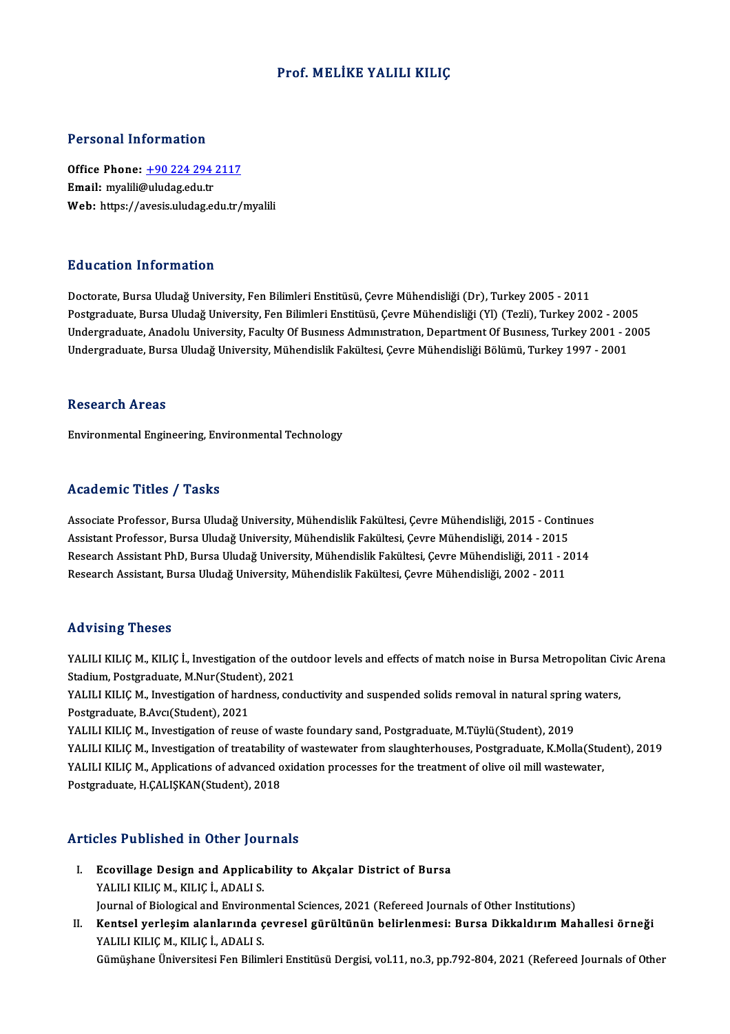# Prof.MELİKE YALILI KILIÇ

## Personal Information

Office Phone: +90 224 294 2117 Email: myalili[@uludag.edu.tr](tel:+90 224 294 2117) Web: https://avesis.uludag.edu.tr/myalili

## Education Information

Doctorate, Bursa Uludağ University, Fen Bilimleri Enstitüsü, Çevre Mühendisliği (Dr), Turkey 2005 - 2011 Pu u sutrom minominusion<br>Doctorate, Bursa Uludağ University, Fen Bilimleri Enstitüsü, Çevre Mühendisliği (Dr), Turkey 2005 - 2011<br>Postgraduate, Bursa Uludağ University, Fen Bilimleri Enstitüsü, Çevre Mühendisliği (Yl) (Tez Undergraduate, Anadolu University, Faculty Of Busıness Admınıstration, Department Of Business, Turkey 2001 - 2005<br>Undergraduate, Bursa Uludağ University, Mühendislik Fakültesi, Çevre Mühendisliği Bölümü, Turkey 1997 - 2001 Postgraduate, Bursa Uludağ University, Fen Bilimleri Enstitüsü, Çevre Mühendisliği (Yl) (Tezli), Turkey 2002 - 200<br>Undergraduate, Anadolu University, Faculty Of Busmess Admmistration, Department Of Business, Turkey 2001 -

#### Research Areas

Environmental Engineering, Environmental Technology

## Academic Titles / Tasks

Associate Professor, Bursa Uludağ University, Mühendislik Fakültesi, Çevre Mühendisliği, 2015 - Continues Assistant Professor, Bursa Uludağ University, Mühendislik Fakültesi, Çevre Mühendisliği, 2014 - 2015 Associate Professor, Bursa Uludağ University, Mühendislik Fakültesi, Çevre Mühendisliği, 2015 - Continues<br>Assistant Professor, Bursa Uludağ University, Mühendislik Fakültesi, Çevre Mühendisliği, 2014 - 2015<br>Research Assist Assistant Professor, Bursa Uludağ University, Mühendislik Fakültesi, Çevre Mühendisliği, 2014 - 2015<br>Research Assistant PhD, Bursa Uludağ University, Mühendislik Fakültesi, Çevre Mühendisliği, 2011 - 2<br>Research Assistant, Research Assistant, Bursa Uludağ University, Mühendislik Fakültesi, Çevre Mühendisliği, 2002 - 2011<br>Advising Theses

YALILI KILIÇ M., KILIÇ İ., Investigation of the outdoor levels and effects of match noise in Bursa Metropolitan Civic Arena Stadium, Postgraduate, M.Nur(Student), 2021 YALILI KILIÇ M., KILIÇ İ., Investigation of the outdoor levels and effects of match noise in Bursa Metropolitan Civ<br>Stadium, Postgraduate, M.Nur(Student), 2021<br>YALILI KILIÇ M., Investigation of hardness, conductivity and s

Stadium, Postgraduate, M.Nur (Studer<br>YALILI KILIÇ M., Investigation of hard<br>Postgraduate, B.Avcı(Student), 2021<br>YALILLEILIC M. Investigation of reve YALILI KILIÇ M., Investigation of hardness, conductivity and suspended solids removal in natural spring<br>Postgraduate, B.Avcı(Student), 2021<br>YALILI KILIÇ M., Investigation of reuse of waste foundary sand, Postgraduate, M.Tü

Postgraduate, B.Avcı(Student), 2021<br>YALILI KILIÇ M., Investigation of reuse of waste foundary sand, Postgraduate, M.Tüylü(Student), 2019<br>YALILI KILIÇ M., Investigation of treatability of wastewater from slaughterhouses, Po YALILI KILIÇM., Investigation of reuse of waste foundary sand, Postgraduate, M.Tüylü(Student), 2019 Postgraduate, H.ÇALIŞKAN(Student), 2018

## Articles Published in Other Journals

- **Tricles Published in Other Journals<br>I. Ecovillage Design and Applicability to Akçalar District of Bursa** SEC 1 deficited in Sener Journal<br>Ecovillage Design and Applica<br>YALILI KILIÇ M., KILIÇ İ., ADALI S.<br>Journal of Biological and Environn Ecovillage Design and Applicability to Akçalar District of Bursa<br>YALILI KILIÇ M., KILIÇ İ., ADALI S.<br>Journal of Biological and Environmental Sciences, 2021 (Refereed Journals of Other Institutions)<br>Kontael verlesim alanlar
- YALILI KILIÇ M., KILIÇ İ., ADALI S.<br>Journal of Biological and Environmental Sciences, 2021 (Refereed Journals of Other Institutions)<br>II. Kentsel yerleşim alanlarında çevresel gürültünün belirlenmesi: Bursa Dikkaldırım Maha Journal of Biological and Environn<br>Kentsel yerleşim alanlarında ç<br>YALILI KILIÇ M., KILIÇ İ., ADALI S.<br>Gümüsbane Üniversitesi Een Bilim

Gümüşhane Üniversitesi Fen Bilimleri Enstitüsü Dergisi, vol.11, no.3, pp.792-804, 2021 (Refereed Journals of Other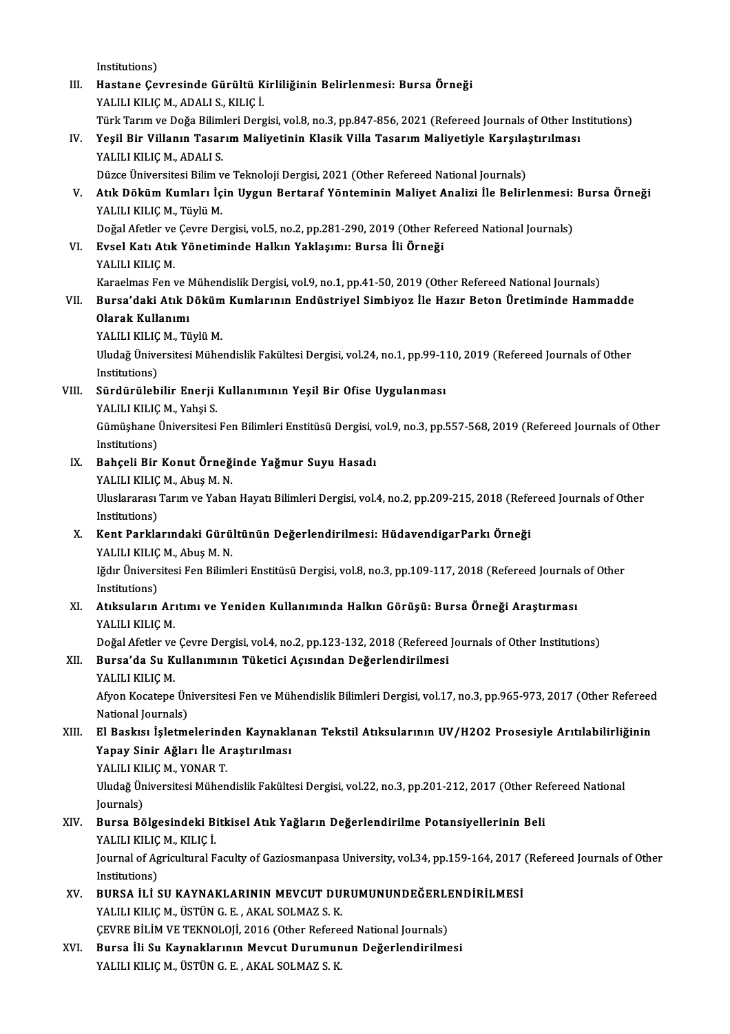Institutions) Institutions)<br>III. Hastane Çevresinde Gürültü Kirliliğinin Belirlenmesi: Bursa Örneği<br>YALILLEILE M. ADALLS, EULE İ Institutions)<br>Hastane Çevresinde Gürültü K<br>YALILI KILIÇ M., ADALI S., KILIÇ İ.<br>Türk Terun ve Değe Bilimleri Dere Hastane Çevresinde Gürültü Kirliliğinin Belirlenmesi: Bursa Örneği<br>YALILI KILIÇ M., ADALI S., KILIÇ İ.<br>Türk Tarım ve Doğa Bilimleri Dergisi, vol.8, no.3, pp.847-856, 2021 (Refereed Journals of Other Institutions)<br>Yesil Bir YALILI KILIÇ M., ADALI S., KILIÇ İ.<br>Türk Tarım ve Doğa Bilimleri Dergisi, vol.8, no.3, pp.847-856, 2021 (Refereed Journals of Other In<br>IV. Yeşil Bir Villanın Tasarım Maliyetinin Klasik Villa Tasarım Maliyetiyle Karşıla Türk Tarım ve Doğa Bilim<br>Yeşil Bir Villanın Tasar<br>YALILI KILIÇ M., ADALI S.<br>Düzce Üniversitesi Bilim v Yeşil Bir Villanın Tasarım Maliyetinin Klasik Villa Tasarım Maliyetiyle Karşıla<br>YALILI KILIÇ M., ADALI S.<br>Düzce Üniversitesi Bilim ve Teknoloji Dergisi, 2021 (Other Refereed National Journals)<br>Atık Döküm Kumları İçin Hızgu YALILI KILIÇ M., ADALI S.<br>Düzce Üniversitesi Bilim ve Teknoloji Dergisi, 2021 (Other Refereed National Journals)<br>V. Atık Döküm Kumları İçin Uygun Bertaraf Yönteminin Maliyet Analizi İle Belirlenmesi: Bursa Örneği<br>YALIL Düzce Üniversitesi Bilim ve Teknoloji Dergisi, 2021 (Other Refereed National Journals) Doğal Afetler ve Çevre Dergisi, vol.5, no.2, pp.281-290, 2019 (Other Refereed National Journals) YALILI KILIÇ M., Tüylü M.<br>Doğal Afetler ve Çevre Dergisi, vol.5, no.2, pp.281-290, 2019 (Other Re<br>VI. Evsel Katı Atık Yönetiminde Halkın Yaklaşımı: Bursa İli Örneği<br>VALILLELLE M Doğal Afetler ve<br><mark>Evsel Katı Atık</mark><br>YALILI KILIÇ M.<br>*Y*araslmas Fan ı YALILI KILIÇ M.<br>Karaelmas Fen ve Mühendislik Dergisi, vol.9, no.1, pp.41-50, 2019 (Other Refereed National Journals) YALILI KILIÇ M.<br>Karaelmas Fen ve Mühendislik Dergisi, vol.9, no.1, pp.41-50, 2019 (Other Refereed National Journals)<br>VII. Bursa'daki Atık Döküm Kumlarının Endüstriyel Simbiyoz İle Hazır Beton Üretiminde Hammadde<br>Olarak Karaelmas Fen ve N<br>Bursa'daki Atık I<br>Olarak Kullanımı<br>VALU LEU IC M. Tü Bursa'daki Atık Döküm<br>Olarak Kullanımı<br>YALILI KILIÇ M., Tüylü M.<br>Uludağ Ünivorsitesi Müha Olarak Kullanımı<br>YALILI KILIÇ M., Tüylü M.<br>Uludağ Üniversitesi Mühendislik Fakültesi Dergisi, vol.24, no.1, pp.99-110, 2019 (Refereed Journals of Other<br>Institutione) YALILI KILIÇ<br>Uludağ Ünive<br>Institutions)<br>Sürdürüleb Vludağ Üniversitesi Mühendislik Fakültesi Dergisi, vol.24, no.1, pp.99-1:<br>Institutions)<br>VIII. Sürdürülebilir Enerji Kullanımının Yeşil Bir Ofise Uygulanması<br>VALU LEU ICM, Yabej S Institutions)<br>Sürdürülebilir Enerji<br>YALILI KILIÇ M., Yahşi S.<br>Cümüsbane Üniversitesi Gümüşhane Üniversitesi Fen Bilimleri Enstitüsü Dergisi, vol.9, no.3, pp.557-568, 2019 (Refereed Journals of Other<br>Institutions) YALILI KILIÇ M., Yahşi S. Gümüşhane Üniversitesi Fen Bilimleri Enstitüsü Dergisi, v<br>Institutions)<br>IX. Bahçeli Bir Konut Örneğinde Yağmur Suyu Hasadı<br>VALILLELLEM Abus MAN Institutions)<br><mark>Bahçeli Bir Konut Örneğ</mark>:<br>YALILI KILIÇ M., Abuş M. N.<br>Uluslararası Tarım ve Yabar Uluslararası Tarım ve Yaban Hayatı Bilimleri Dergisi, vol.4, no.2, pp.209-215, 2018 (Refereed Journals of Other<br>Institutions) YALILI KILIÇ M., Abuş M. N. Uluslararası Tarım ve Yaban Hayatı Bilimleri Dergisi, vol.4, no.2, pp.209-215, 2018 (Refe<br>Institutions)<br>X. Kent Parklarındaki Gürültünün Değerlendirilmesi: HüdavendigarParkı Örneği<br>XALILLELLEM Abus M.N Institutions)<br><mark>Kent Parklarındaki Gürü</mark><br>YALILI KILIÇ M., Abuş M. N.<br>Jğdır Üniversitesi Fen Biliml Kent Parklarındaki Gürültünün Değerlendirilmesi: HüdavendigarParkı Örneği<br>YALILI KILIÇ M., Abuş M. N.<br>Iğdır Üniversitesi Fen Bilimleri Enstitüsü Dergisi, vol.8, no.3, pp.109-117, 2018 (Refereed Journals of Other<br>Institutio YALILI KILIÇ<br>Iğdır Ünivers<br>Institutions)<br>Atıkayların Iğdır Üniversitesi Fen Bilimleri Enstitüsü Dergisi, vol.8, no.3, pp.109-117, 2018 (Refereed Journals<br>Institutions)<br>XI. Atıksuların Arıtımı ve Yeniden Kullanımında Halkın Görüşü: Bursa Örneği Araştırması<br>XALILLELLEM Institutions)<br>XI. Atıksuların Arıtımı ve Yeniden Kullanımında Halkın Görüşü: Bursa Örneği Araştırması<br>YALILI KILIÇM. Atıksuların Arıtımı ve Yeniden Kullanımında Halkın Görüşü: Bursa Örneği Araştırması<br>YALILI KILIÇ M.<br>Doğal Afetler ve Çevre Dergisi, vol.4, no.2, pp.123-132, 2018 (Refereed Journals of Other Institutions)<br>Bursa'da Su Kullan XII. Bursa'da Su Kullanımının Tüketici Açısından Değerlendirilmesi<br>YALILI KILIÇ M. Doğal Afetler ve<br><mark>Bursa'da Su K</mark>i<br>YALILI KILIÇ M.<br>Afron Kosatane Bursa'da Su Kullanımının Tüketici Açısından Değerlendirilmesi<br>YALILI KILIÇ M.<br>Afyon Kocatepe Üniversitesi Fen ve Mühendislik Bilimleri Dergisi, vol.17, no.3, pp.965-973, 2017 (Other Refereed YALILI KILIÇ M.<br>Afyon Kocatepe Ün<br>National Journals)<br>El Baskısı İslatma Afyon Kocatepe Üniversitesi Fen ve Mühendislik Bilimleri Dergisi, vol.17, no.3, pp.965-973, 2017 (Other Refereed<br>National Journals)<br>XIII. El Baskısı İşletmelerinden Kaynaklanan Tekstil Atıksularının UV/H2O2 Prosesiyle Arıt National Journals)<br>El Baskısı İşletmelerinden Kaynakla<br>Yapay Sinir Ağları İle Araştırılması<br>YALILLEILE M. YONAR T El Baskısı İşletmelerind<br>Yapay Sinir Ağları İle Aı<br>YALILI KILIÇ M., YONAR T.<br>Uludağ Üniversitesi Mühan Yapay Sinir Ağları İle Araştırılması<br>YALILI KILIÇ M., YONAR T.<br>Uludağ Üniversitesi Mühendislik Fakültesi Dergisi, vol.22, no.3, pp.201-212, 2017 (Other Refereed National YALILI KI<br>Uludağ Ün<br>Journals)<br>Pursa Pö Uludağ Üniversitesi Mühendislik Fakültesi Dergisi, vol.22, no.3, pp.201-212, 2017 (Other Re<br>Journals)<br>XIV. Bursa Bölgesindeki Bitkisel Atık Yağların Değerlendirilme Potansiyellerinin Beli<br>XALILLELLEM KILLE İ Journals)<br><mark>Bursa Bölgesindeki B</mark>i<br>YALILI KILIÇ M., KILIÇ İ.<br>Journal of Agriqultural E Bursa Bölgesindeki Bitkisel Atık Yağların Değerlendirilme Potansiyellerinin Beli<br>YALILI KILIÇ M., KILIÇ İ.<br>Journal of Agricultural Faculty of Gaziosmanpasa University, vol.34, pp.159-164, 2017 (Refereed Journals of Other<br>I **YALILI KILIÇ<br>Journal of Ag<br>Institutions)<br>PUPSA it i s** Journal of Agricultural Faculty of Gaziosmanpasa University, vol.34, pp.159-164, 2017<br>Institutions)<br>XV. BURSA İLİ SU KAYNAKLARININ MEVCUT DURUMUNUNDEĞERLENDİRİLMESİ<br>XALILLELLE MAİSTÜNE ELAKAL SOLMAZ S. K Institutions)<br>BURSA İLİ SU KAYNAKLARININ MEVCUT DU<br>YALILI KILIÇ M., ÜSTÜN G. E. , AKAL SOLMAZ S. K.<br>CEVPE PİLİM VE TEKNOLOU, 2016 (Othar Bafaro BURSA İLİ SU KAYNAKLARININ MEVCUT DURUMUNUNDEĞERLI<br>YALILI KILIÇ M., ÜSTÜN G. E. , AKAL SOLMAZ S. K.<br>ÇEVRE BİLİM VE TEKNOLOJİ, 2016 (Other Refereed National Journals)<br>Pursa İli Su Kaynaklarının Mayaut Durumunun Dağarlandiri YALILI KILIÇ M., ÜSTÜN G. E. , AKAL SOLMAZ S. K.<br>CEVRE BİLİM VE TEKNOLOJİ, 2016 (Other Refereed National Journals)<br>XVI. Bursa İli Su Kaynaklarının Mevcut Durumunun Değerlendirilmesi<br>YALILI KILIÇ M., ÜSTÜN G. E. , AKAL SOLM CEVRE BILIM VE TEKNOLOJI, 2016 (Other Refereed National Journals)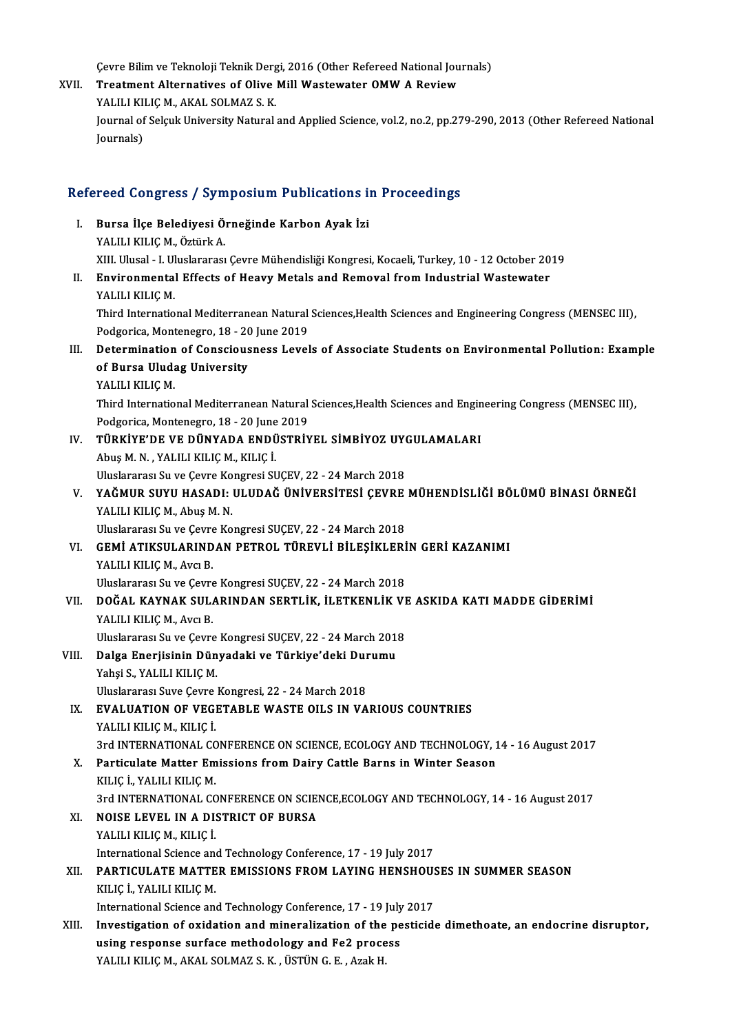Cevre Bilim ve Teknoloji Teknik Dergi, 2016 (Other Refereed National Journals)<br>Treatment Alternatives of Olive Mill Westswater OMW A Beview

Cevre Bilim ve Teknoloji Teknik Dergi, 2016 (Other Refereed National Jou (Sevre Bilim ve Teknoloji Teknik Dergi<br>XVII. Treatment Alternatives of Olive Mill Wastewater OMW A Review Cevre Bilim ve Teknoloji Teknik Derg<br>Treatment Alternatives of Olive<br>YALILI KILIÇ M., AKAL SOLMAZ S. K.<br>Journal of Solauk University Natural Treatment Alternatives of Olive Mill Wastewater OMW A Review<br>YALILI KILIÇ M., AKAL SOLMAZ S. K.<br>Journal of Selçuk University Natural and Applied Science, vol.2, no.2, pp.279-290, 2013 (Other Refereed National<br>Journals) YALILI KILIC M., AKAL SOLMAZ S. K.

# Refereed Congress / Symposium Publications in Proceedings

efereed Congress / Symposium Publications i<br>I. Bursa İlçe Belediyesi Örneğinde Karbon Ayak İzi YOGA GÖLET ÖSS 7 OYAL<br>Bursa İlçe Belediyesi Ö:<br>YALILI KILIÇ M., Öztürk A.<br>YII Hiyesi - Uliyekraresi Bursa İlçe Belediyesi Örneğinde Karbon Ayak İzi<br>YALILI KILIÇ M., Öztürk A.<br>XIII. Ulusal - I. Uluslararası Çevre Mühendisliği Kongresi, Kocaeli, Turkey, 10 - 12 October 2019<br>Environmentel Effects of Hoavy Metals and Bemeval YALILI KILIÇ M., Öztürk A.<br>III. Ulusal - I. Uluslararası Çevre Mühendisliği Kongresi, Kocaeli, Turkey, 10 - 12 October 20<br>II. Environmental Effects of Heavy Metals and Removal from Industrial Wastewater<br>VALILLELLEM XIII. Ulusal - I. Ul<br><mark>Environmenta</mark><br>YALILI KILIÇ M.<br>Third Internatio Environmental Effects of Heavy Metals and Removal from Industrial Wastewater<br>YALILI KILIÇ M.<br>Third International Mediterranean Natural Sciences,Health Sciences and Engineering Congress (MENSEC III),<br>Pedgerice Montenegre 19 YALILI KILIÇ M.<br>Third International Mediterranean Natural<br>Podgorica, Montenegro, 18 - 20 June 2019<br>Petermination of Conscieveness Level Podgorica, Montenegro, 18 - 20 June 2019<br>III. Determination of Consciousness Levels of Associate Students on Environmental Pollution: Example Podgorica, Montenegro, 18 - 20<br>Determination of Conscious<br>of Bursa Uludag University<br>YALULEU IC M Determination<br>of Bursa Uluda<br>YALILI KILIÇ M.<br>Third Internatio of Bursa Uludag University<br>YALILI KILIÇ M.<br>Third International Mediterranean Natural Sciences,Health Sciences and Engineering Congress (MENSEC III),<br>Redgerics Montenegre 19, 20 June 2019. YALILI KILIÇ M.<br>Third International Mediterranean Natural<br>Podgorica, Montenegro, 18 - 20 June 2019<br>Tüp viverne ve pünyana Ennüsteiy Third International Mediterranean Natural Sciences, Health Sciences and Engin<br>Podgorica, Montenegro, 18 - 20 June 2019<br>IV. TÜRKİYE'DE VE DÜNYADA ENDÜSTRİYEL SİMBİYOZ UYGULAMALARI<br>Abus M.N. YALILLELLE M. ELLE İ Podgorica, Montenegro, 18 - 20 June<br>TÜRKİYE'DE VE DÜNYADA ENDÜ<br>Abuş M. N. , YALILI KILIÇ M., KILIÇ İ.<br>Uluelararası Su ve Covre Kongresi SI TÜRKİYE'DE VE DÜNYADA ENDÜSTRİYEL SİMBİYOZ UY(<br>Abuş M. N. , YALILI KILIÇ M., KILIÇ İ.<br>Uluslararası Su ve Çevre Kongresi SUÇEV, 22 - 24 March 2018<br>YAĞMUR SUYU HASADL, ULUDAĞ ÜNİVERSİTESI GEVRE Abuş M. N. , YALILI KILIÇ M., KILIÇ İ.<br>Uluslararası Su ve Çevre Kongresi SUÇEV, 22 - 24 March 2018<br>V. YAĞMUR SUYU HASADI: ULUDAĞ ÜNİVERSİTESİ ÇEVRE MÜHENDİSLİĞİ BÖLÜMÜ BİNASI ÖRNEĞİ<br>VALILI KU ICM, Abus M. N Uluslararası Su ve Çevre Ko<br>YAĞMUR SUYU HASADI:<br>YALILI KILIÇ M., Abuş M. N.<br>Uluslararası Su ve Cevre Ko YAĞMUR SUYU HASADI: ULUDAĞ ÜNİVERSİTESİ ÇEVRE<br>YALILI KILIÇ M., Abuş M. N.<br>Uluslararası Su ve Çevre Kongresi SUÇEV, 22 - 24 March 2018<br>CEMİ ATIKSULARINDAN BETROL TÜREVLİ RİLESİKLERİ YALILI KILIÇ M., Abuş M. N.<br>Uluslararası Su ve Çevre Kongresi SUÇEV, 22 - 24 March 2018<br>VI. GEMİ ATIKSULARINDAN PETROL TÜREVLİ BİLEŞİKLERİN GERİ KAZANIMI<br>YALILI KILIC M., Avcı B. Uluslararası Su ve Çevre Kongresi SUÇEV, 22 - 24 March 2018 GEMİ ATIKSULARINDAN PETROL TÜREVLİ BİLEŞİKLERİ<br>YALILI KILIÇ M., Avcı B.<br>Uluslararası Su ve Çevre Kongresi SUÇEV, 22 - 24 March 2018<br>DOĞAL KAYNAK SULARINDAN SERTI İK, İLETKENLİK VI VI . DOĞAL KAYNAK SULARINDAN SERTLİK, İLETKENLİK VE ASKIDA KATIMADDE GİDERİMİ Uluslararası Su ve Çevre<br>DOĞAL KAYNAK SUL.<br>YALILI KILIÇ M., Avcı B.<br>Uluslararası Su ve Gevre DOĞAL KAYNAK SULARINDAN SERTLİK, İLETKENLİK VI<br>YALILI KILIÇ M., Avcı B.<br>Uluslararası Su ve Çevre Kongresi SUÇEV, 22 - 24 March 2018<br>Palga Enerijsinin Dünyadeki ve Türkiye'deki Dunumu YALILI KILIÇ M., Avcı B.<br>Uluslararası Su ve Çevre Kongresi SUÇEV, 22 - 24 March 201:<br>VIII. Dalga Enerjisinin Dünyadaki ve Türkiye'deki Durumu<br>Yabej S. VALILL KILIG M Uluslararası Su ve Çevre<br><mark>Dalga Enerjisinin Dün</mark><br>Yahşi S., YALILI KILIÇ M.<br>Uluslararası Suve Geyre l Dalga Enerjisinin Dünyadaki ve Türkiye'deki Dur<br>Yahşi S., YALILI KILIÇ M.<br>Uluslararası Suve Çevre Kongresi, 22 - 24 March 2018<br>EVALUATION OE VECETABLE WASTE QU S IN VA Yahşi S., YALILI KILIÇ M.<br>Uluslararası Suve Çevre Kongresi, 22 - 24 March 2018<br>IX. EVALUATION OF VEGETABLE WASTE OILS IN VARIOUS COUNTRIES<br>YALILI KILIC M., KILIC İ. Uluslararası Suve Çevre Kongresi, 22 - 24 March 2018 EVALUATION OF VEGETABLE WASTE OILS IN VARIOUS COUNTRIES<br>YALILI KILIÇ M., KILIÇ İ.<br>3rd INTERNATIONAL CONFERENCE ON SCIENCE, ECOLOGY AND TECHNOLOGY, 14 - 16 August 2017<br>Partiqulata Mattar Emissions from Dairy Cattle Barns in YALILI KILIÇ M., KILIÇ İ.<br>3rd INTERNATIONAL CONFERENCE ON SCIENCE, ECOLOGY AND TECHNOLOGY, 1<br>X. Particulate Matter Emissions from Dairy Cattle Barns in Winter Season<br>KU IC İ. YALILLELIC M 3rd INTERNATIONAL CC<br>Particulate Matter Em<br>KILIÇ İ., YALILI KILIÇ M.<br>2rd INTERNATIONAL CC Particulate Matter Emissions from Dairy Cattle Barns in Winter Season<br>KILIÇ İ., YALILI KILIÇ M.<br>3rd INTERNATIONAL CONFERENCE ON SCIENCE,ECOLOGY AND TECHNOLOGY, 14 - 16 August 2017<br>NOISE I EVEL IN A DISTRICT OE BURSA KILIÇ İ., YALILI KILIÇ M.<br>3rd INTERNATIONAL CONFERENCE ON SCIE<br>XI. NOISE LEVEL IN A DISTRICT OF BURSA<br>YALILI KILIÇ M., KILIÇ İ. 3rd INTERNATIONAL CC<br>**NOISE LEVEL IN A DI:**<br>YALILI KILIÇ M., KILIÇ İ.<br>International Science an **NOISE LEVEL IN A DISTRICT OF BURSA<br>YALILI KILIÇ M., KILIÇ İ.<br>International Science and Technology Conference, 17 - 19 July 2017**<br>RARTICULATE MATTER EMISSIONS EROM LAVINC UENSHOUS XI . PARTICULATEMATTER EMISSIONS FROMLAYING HENSHOUSES IN SUMMER SEASON International Science an<br>**PARTICULATE MATTE<br>KILIÇ İ., YALILI KILIÇ M.**<br>International Science an PARTICULATE MATTER EMISSIONS FROM LAYING HENSHOUS<br>KILIÇ İ., YALILI KILIÇ M.<br>International Science and Technology Conference, 17 - 19 July 2017<br>Investigation of evidation and mineralization of the nestigid KILIÇ İ., YALILI KILIÇ M.<br>International Science and Technology Conference, 17 - 19 July 2017<br>XIII. Investigation of oxidation and mineralization of the pesticide dimethoate, an endocrine disruptor,<br>weing response surface m International Science and Technology Conference, 17 - 19 July<br>Investigation of oxidation and mineralization of the pe<br>using response surface methodology and Fe2 process<br>XALU LEU ICM AKAL SOLMAZS K, USTUNG E, Arab H using response surface methodology and Fe2 process<br>YALILI KILIÇM., AKAL SOLMAZ S.K., ÜSTÜN G.E., Azak H.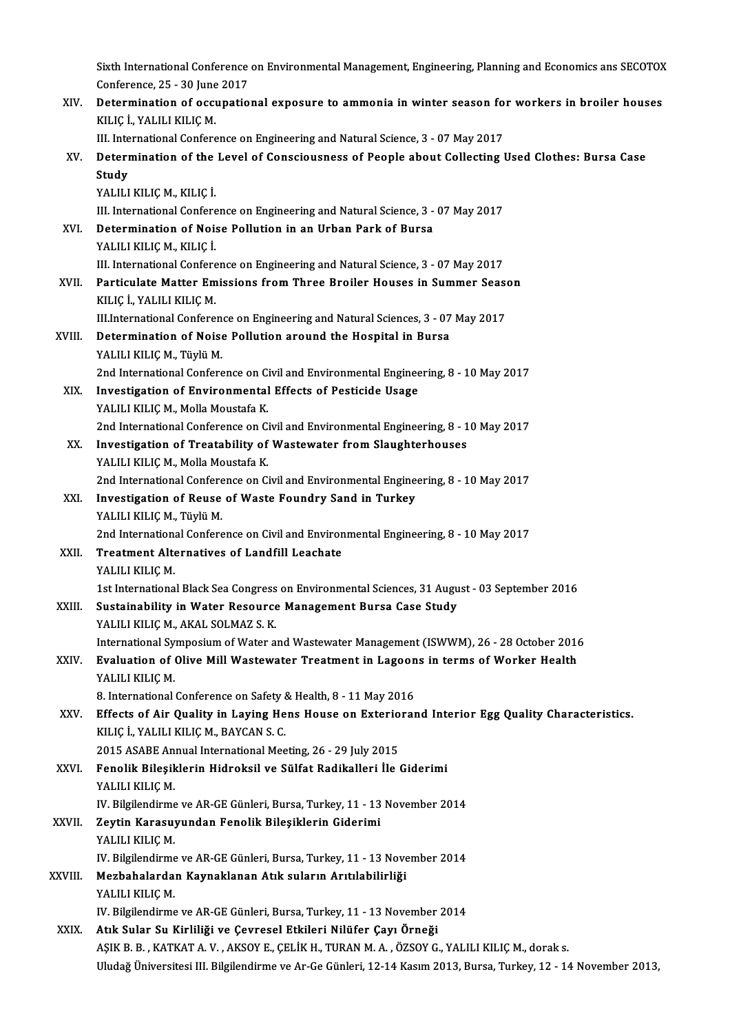Sixth International Conference on Environmental Management, Engineering, Planning and Economics ans SECOTOX<br>Conference, 25, 29 June 2017 Sixth International Conference<br>Conference, 25 - 30 June 2017<br>Determination of eccuratio Sixth International Conference on Environmental Management, Engineering, Planning and Economics ans SECOTOX<br>Conference, 25 - 30 June 2017<br>XIV. Determination of occupational exposure to ammonia in winter season for workers

Conference, 25 - 30 June<br>Determination of occu<br>KILIÇ İ., YALILI KILIÇ M.<br>III. International Confere Determination of occupational exposure to ammonia in winter season fo<br>KILIÇ İ., YALILI KILIÇ M.<br>III. International Conference on Engineering and Natural Science, 3 - 07 May 2017<br>Determination of the Level of Consciencess o

|         | KILIÇ İ., YALILI KILIÇ M.                                                                                                                  |
|---------|--------------------------------------------------------------------------------------------------------------------------------------------|
|         | III. International Conference on Engineering and Natural Science, 3 - 07 May 2017                                                          |
| XV.     | Determination of the Level of Consciousness of People about Collecting Used Clothes: Bursa Case                                            |
|         | Study                                                                                                                                      |
|         | YALILI KILIÇ M., KILIÇ İ.                                                                                                                  |
|         | III. International Conference on Engineering and Natural Science, 3 - 07 May 2017                                                          |
| XVI.    | Determination of Noise Pollution in an Urban Park of Bursa                                                                                 |
|         | YALILI KILIÇ M., KILIÇ İ.                                                                                                                  |
|         | III. International Conference on Engineering and Natural Science, 3 - 07 May 2017                                                          |
| XVII.   | Particulate Matter Emissions from Three Broiler Houses in Summer Season                                                                    |
|         | KILIÇ İ., YALILI KILIÇ M.                                                                                                                  |
|         | III International Conference on Engineering and Natural Sciences, 3 - 07 May 2017                                                          |
| XVIII.  | Determination of Noise Pollution around the Hospital in Bursa                                                                              |
|         | YALILI KILIÇ M., Tüylü M.                                                                                                                  |
|         | 2nd International Conference on Civil and Environmental Engineering, 8 - 10 May 2017                                                       |
| XIX.    | Investigation of Environmental Effects of Pesticide Usage                                                                                  |
|         | YALILI KILIÇ M., Molla Moustafa K.                                                                                                         |
|         | 2nd International Conference on Civil and Environmental Engineering, 8 - 10 May 2017                                                       |
| XX.     | Investigation of Treatability of Wastewater from Slaughterhouses                                                                           |
|         | YALILI KILIÇ M., Molla Moustafa K.                                                                                                         |
|         | 2nd International Conference on Civil and Environmental Engineering, 8 - 10 May 2017                                                       |
| XXI.    | Investigation of Reuse of Waste Foundry Sand in Turkey                                                                                     |
|         | YALILI KILIÇ M., Tüylü M.                                                                                                                  |
|         | 2nd International Conference on Civil and Environmental Engineering, 8 - 10 May 2017<br><b>Treatment Alternatives of Landfill Leachate</b> |
| XXII.   | YALILI KILIÇ M.                                                                                                                            |
|         | 1st International Black Sea Congress on Environmental Sciences, 31 August - 03 September 2016                                              |
| XXIII.  | Sustainability in Water Resource Management Bursa Case Study                                                                               |
|         | YALILI KILIÇ M., AKAL SOLMAZ S. K.                                                                                                         |
|         | International Symposium of Water and Wastewater Management (ISWWM), 26 - 28 October 2016                                                   |
| XXIV.   | Evaluation of Olive Mill Wastewater Treatment in Lagoons in terms of Worker Health                                                         |
|         | YALILI KILIÇ M.                                                                                                                            |
|         | 8. International Conference on Safety & Health, 8 - 11 May 2016                                                                            |
| XXV.    | Effects of Air Quality in Laying Hens House on Exteriorand Interior Egg Quality Characteristics.                                           |
|         | KILIÇ İ., YALILI KILIÇ M., BAYCAN S. C.                                                                                                    |
|         | 2015 ASABE Annual International Meeting, 26 - 29 July 2015                                                                                 |
| XXVI.   | Fenolik Bileşiklerin Hidroksil ve Sülfat Radikalleri İle Giderimi                                                                          |
|         | YALILI KILIÇM.                                                                                                                             |
|         | IV. Bilgilendirme ve AR-GE Günleri, Bursa, Turkey, 11 - 13 November 2014                                                                   |
| XXVII.  | Zeytin Karasuyundan Fenolik Bileşiklerin Giderimi                                                                                          |
|         | YALILI KILIÇ M.                                                                                                                            |
|         | IV. Bilgilendirme ve AR-GE Günleri, Bursa, Turkey, 11 - 13 November 2014                                                                   |
| XXVIII. | Mezbahalardan Kaynaklanan Atık suların Arıtılabilirliği                                                                                    |
|         | YALILI KILIÇM.                                                                                                                             |
|         | IV. Bilgilendirme ve AR-GE Günleri, Bursa, Turkey, 11 - 13 November 2014                                                                   |
| XXIX.   | Atık Sular Su Kirliliği ve Çevresel Etkileri Nilüfer Çayı Örneği                                                                           |
|         | AŞIK B. B., KATKAT A. V., AKSOY E., ÇELİK H., TURAN M. A., ÖZSOY G., YALILI KILIÇ M., dorak s.                                             |
|         | Uludağ Üniversitesi III. Bilgilendirme ve Ar-Ge Günleri, 12-14 Kasım 2013, Bursa, Turkey, 12 - 14 November 2013,                           |
|         |                                                                                                                                            |